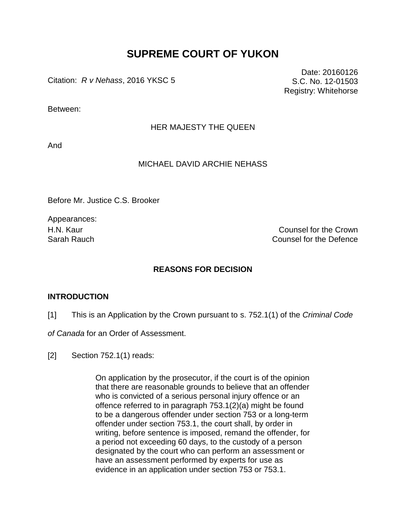# **SUPREME COURT OF YUKON**

Citation: *R v Nehass*, 2016 YKSC 5

Date: 20160126 S.C. No. 12-01503 Registry: Whitehorse

Between:

### HER MAJESTY THE QUEEN

And

## MICHAEL DAVID ARCHIE NEHASS

Before Mr. Justice C.S. Brooker

Appearances:

H.N. Kaur Counsel for the Crown Sarah Rauch Counsel for the Defence

### **REASONS FOR DECISION**

#### **INTRODUCTION**

[1] This is an Application by the Crown pursuant to s. 752.1(1) of the *Criminal Code* 

*of Canada* for an Order of Assessment.

[2] Section 752.1(1) reads:

On application by the prosecutor, if the court is of the opinion that there are reasonable grounds to believe that an offender who is convicted of a serious personal injury offence or an offence referred to in paragraph 753.1(2)(a) might be found to be a dangerous offender under section 753 or a long-term offender under section 753.1, the court shall, by order in writing, before sentence is imposed, remand the offender, for a period not exceeding 60 days, to the custody of a person designated by the court who can perform an assessment or have an assessment performed by experts for use as evidence in an application under section 753 or 753.1.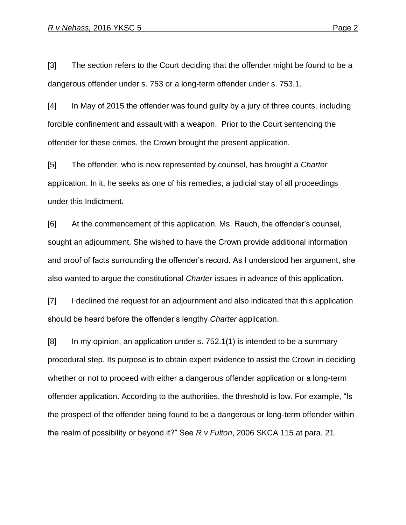[3] The section refers to the Court deciding that the offender might be found to be a dangerous offender under s. 753 or a long-term offender under s. 753.1.

[4] In May of 2015 the offender was found guilty by a jury of three counts, including forcible confinement and assault with a weapon. Prior to the Court sentencing the offender for these crimes, the Crown brought the present application.

[5] The offender, who is now represented by counsel, has brought a *Charter* application. In it, he seeks as one of his remedies, a judicial stay of all proceedings under this Indictment.

[6] At the commencement of this application, Ms. Rauch, the offender's counsel, sought an adjournment. She wished to have the Crown provide additional information and proof of facts surrounding the offender's record. As I understood her argument, she also wanted to argue the constitutional *Charter* issues in advance of this application.

[7] I declined the request for an adjournment and also indicated that this application should be heard before the offender's lengthy *Charter* application.

[8] In my opinion, an application under s. 752.1(1) is intended to be a summary procedural step. Its purpose is to obtain expert evidence to assist the Crown in deciding whether or not to proceed with either a dangerous offender application or a long-term offender application. According to the authorities, the threshold is low. For example, "Is the prospect of the offender being found to be a dangerous or long-term offender within the realm of possibility or beyond it?" See *R v Fulton*, 2006 SKCA 115 at para. 21.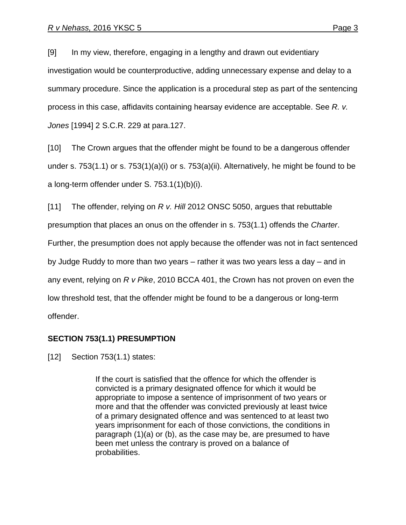[9] In my view, therefore, engaging in a lengthy and drawn out evidentiary investigation would be counterproductive, adding unnecessary expense and delay to a summary procedure. Since the application is a procedural step as part of the sentencing process in this case, affidavits containing hearsay evidence are acceptable. See *R. v. Jones* [1994] 2 S.C.R. 229 at para.127.

[10] The Crown argues that the offender might be found to be a dangerous offender under s. 753(1.1) or s. 753(1)(a)(i) or s. 753(a)(ii). Alternatively, he might be found to be a long-term offender under S. 753.1(1)(b)(i).

[11] The offender, relying on *R v. Hill* 2012 ONSC 5050, argues that rebuttable presumption that places an onus on the offender in s. 753(1.1) offends the *Charter*. Further, the presumption does not apply because the offender was not in fact sentenced by Judge Ruddy to more than two years – rather it was two years less a day – and in any event, relying on *R v Pike*, 2010 BCCA 401, the Crown has not proven on even the low threshold test, that the offender might be found to be a dangerous or long-term offender.

# **SECTION 753(1.1) PRESUMPTION**

[12] Section 753(1.1) states:

If the court is satisfied that the offence for which the offender is convicted is a primary designated offence for which it would be appropriate to impose a sentence of imprisonment of two years or more and that the offender was convicted previously at least twice of a primary designated offence and was sentenced to at least two years imprisonment for each of those convictions, the conditions in paragraph (1)(a) or (b), as the case may be, are presumed to have been met unless the contrary is proved on a balance of probabilities.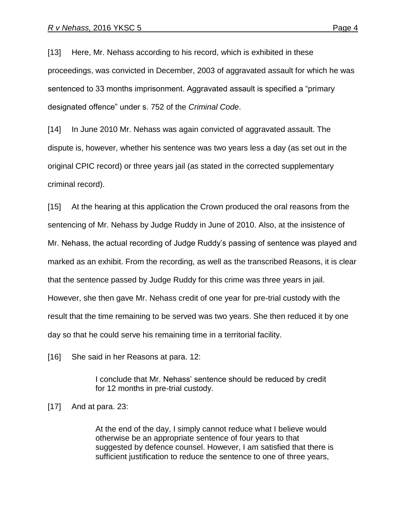[13] Here, Mr. Nehass according to his record, which is exhibited in these proceedings, was convicted in December, 2003 of aggravated assault for which he was sentenced to 33 months imprisonment. Aggravated assault is specified a "primary designated offence" under s. 752 of the *Criminal Code*.

[14] In June 2010 Mr. Nehass was again convicted of aggravated assault. The dispute is, however, whether his sentence was two years less a day (as set out in the original CPIC record) or three years jail (as stated in the corrected supplementary criminal record).

[15] At the hearing at this application the Crown produced the oral reasons from the sentencing of Mr. Nehass by Judge Ruddy in June of 2010. Also, at the insistence of Mr. Nehass, the actual recording of Judge Ruddy's passing of sentence was played and marked as an exhibit. From the recording, as well as the transcribed Reasons, it is clear that the sentence passed by Judge Ruddy for this crime was three years in jail. However, she then gave Mr. Nehass credit of one year for pre-trial custody with the result that the time remaining to be served was two years. She then reduced it by one day so that he could serve his remaining time in a territorial facility.

[16] She said in her Reasons at para. 12:

I conclude that Mr. Nehass' sentence should be reduced by credit for 12 months in pre-trial custody.

[17] And at para. 23:

At the end of the day, I simply cannot reduce what I believe would otherwise be an appropriate sentence of four years to that suggested by defence counsel. However, I am satisfied that there is sufficient justification to reduce the sentence to one of three years,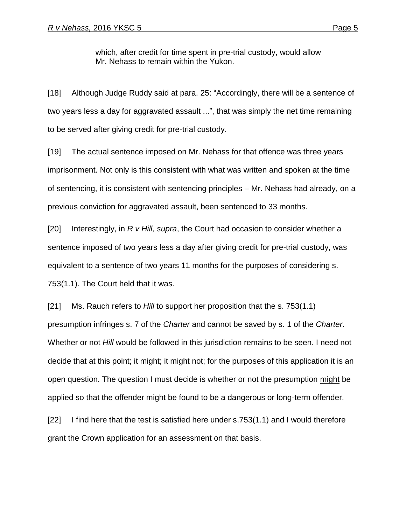which, after credit for time spent in pre-trial custody, would allow Mr. Nehass to remain within the Yukon.

[18] Although Judge Ruddy said at para. 25: "Accordingly, there will be a sentence of two years less a day for aggravated assault ...", that was simply the net time remaining to be served after giving credit for pre-trial custody.

[19] The actual sentence imposed on Mr. Nehass for that offence was three years imprisonment. Not only is this consistent with what was written and spoken at the time of sentencing, it is consistent with sentencing principles – Mr. Nehass had already, on a previous conviction for aggravated assault, been sentenced to 33 months.

[20] Interestingly, in *R v Hill, supra*, the Court had occasion to consider whether a sentence imposed of two years less a day after giving credit for pre-trial custody, was equivalent to a sentence of two years 11 months for the purposes of considering s. 753(1.1). The Court held that it was.

[21] Ms. Rauch refers to *Hill* to support her proposition that the s. 753(1.1) presumption infringes s. 7 of the *Charter* and cannot be saved by s. 1 of the *Charter*. Whether or not *Hill* would be followed in this jurisdiction remains to be seen. I need not decide that at this point; it might; it might not; for the purposes of this application it is an open question. The question I must decide is whether or not the presumption might be applied so that the offender might be found to be a dangerous or long-term offender.

[22] I find here that the test is satisfied here under s.753(1.1) and I would therefore grant the Crown application for an assessment on that basis.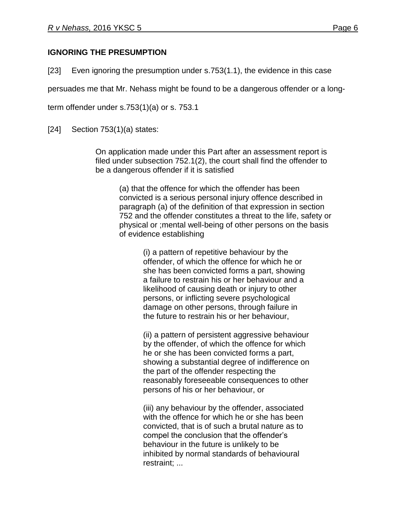# **IGNORING THE PRESUMPTION**

[23] Even ignoring the presumption under s.753(1.1), the evidence in this case

persuades me that Mr. Nehass might be found to be a dangerous offender or a long-

term offender under s.753(1)(a) or s. 753.1

[24] Section 753(1)(a) states:

On application made under this Part after an assessment report is filed under subsection 752.1(2), the court shall find the offender to be a dangerous offender if it is satisfied

(a) that the offence for which the offender has been convicted is a serious personal injury offence described in paragraph (a) of the definition of that expression in section 752 and the offender constitutes a threat to the life, safety or physical or ;mental well-being of other persons on the basis of evidence establishing

> (i) a pattern of repetitive behaviour by the offender, of which the offence for which he or she has been convicted forms a part, showing a failure to restrain his or her behaviour and a likelihood of causing death or injury to other persons, or inflicting severe psychological damage on other persons, through failure in the future to restrain his or her behaviour,

(ii) a pattern of persistent aggressive behaviour by the offender, of which the offence for which he or she has been convicted forms a part, showing a substantial degree of indifference on the part of the offender respecting the reasonably foreseeable consequences to other persons of his or her behaviour, or

(iii) any behaviour by the offender, associated with the offence for which he or she has been convicted, that is of such a brutal nature as to compel the conclusion that the offender's behaviour in the future is unlikely to be inhibited by normal standards of behavioural restraint; ...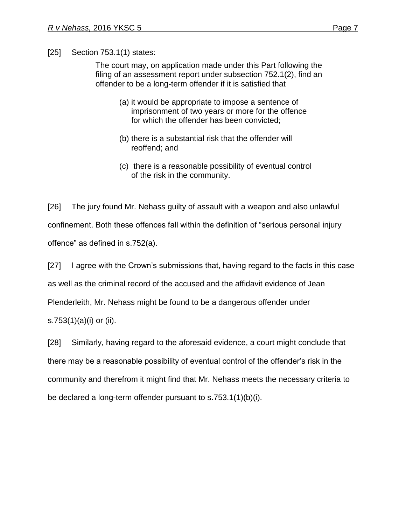[25] Section 753.1(1) states:

The court may, on application made under this Part following the filing of an assessment report under subsection 752.1(2), find an offender to be a long-term offender if it is satisfied that

- (a) it would be appropriate to impose a sentence of imprisonment of two years or more for the offence for which the offender has been convicted;
- (b) there is a substantial risk that the offender will reoffend; and
- (c) there is a reasonable possibility of eventual control of the risk in the community.

[26] The jury found Mr. Nehass guilty of assault with a weapon and also unlawful confinement. Both these offences fall within the definition of "serious personal injury offence" as defined in s.752(a).

[27] I agree with the Crown's submissions that, having regard to the facts in this case

as well as the criminal record of the accused and the affidavit evidence of Jean

Plenderleith, Mr. Nehass might be found to be a dangerous offender under

s.753(1)(a)(i) or (ii).

[28] Similarly, having regard to the aforesaid evidence, a court might conclude that there may be a reasonable possibility of eventual control of the offender's risk in the community and therefrom it might find that Mr. Nehass meets the necessary criteria to be declared a long-term offender pursuant to s.753.1(1)(b)(i).